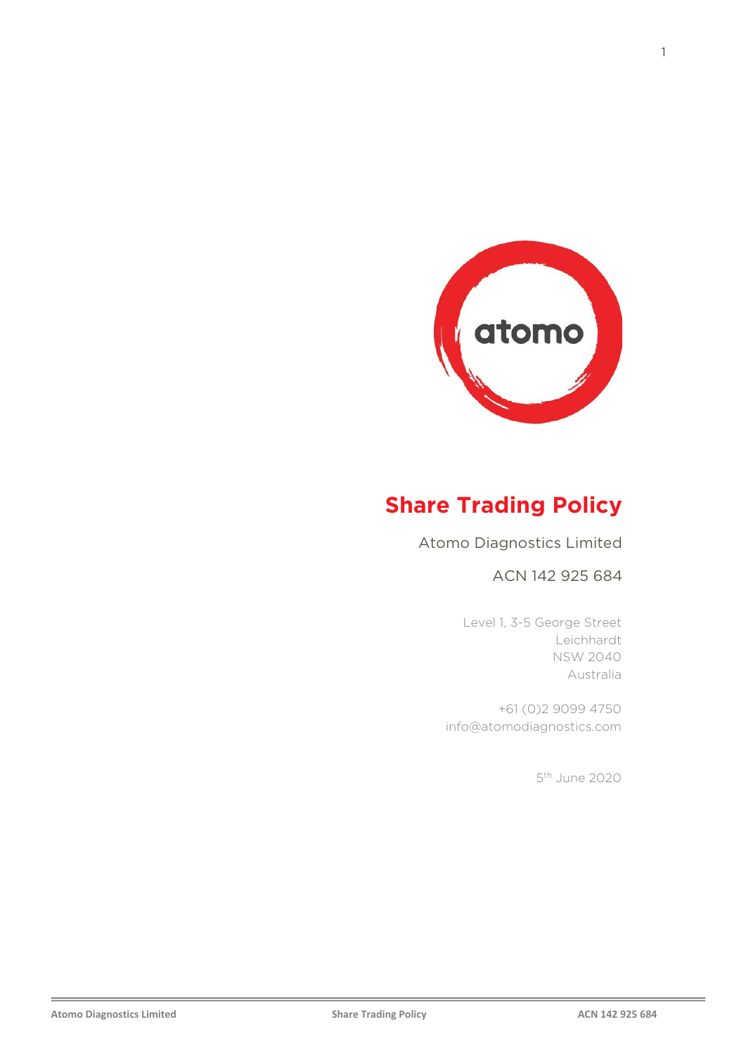

# **Share Trading Policy**

Atomo Diagnostics Limited

### ACN 142 925 684

Level 1, 3-5 George Street Leichhardt NSW 2040 Australia

+61 (0)2 9099 4750 info@atomodiagnostics.com

5th June 2020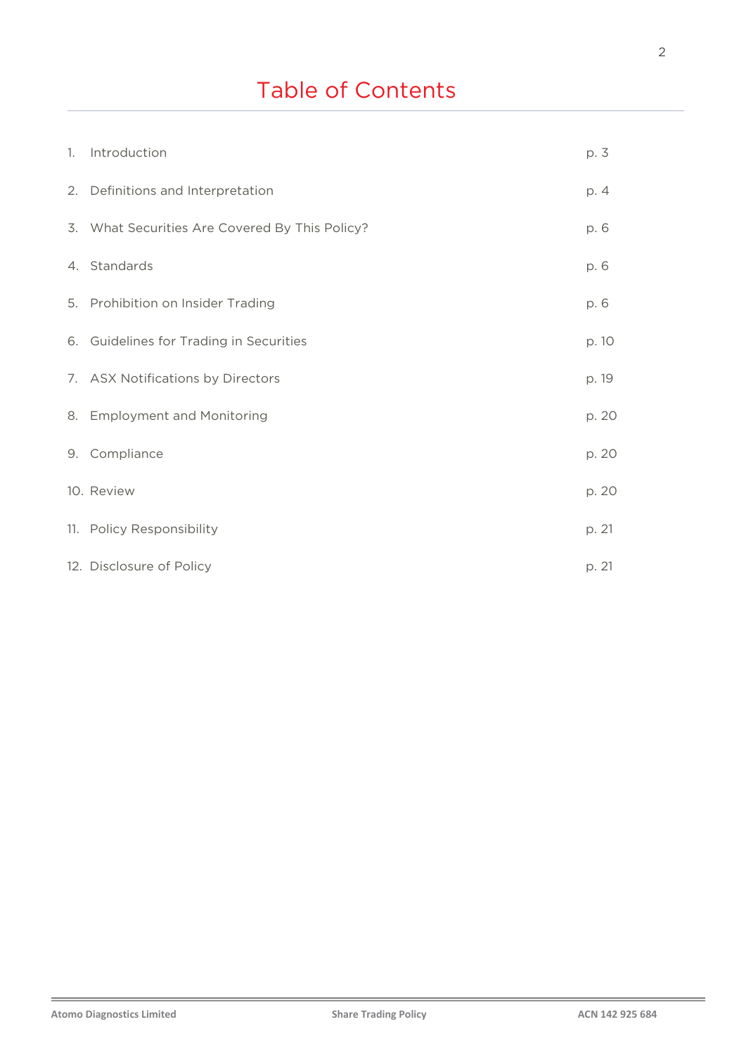# Table of Contents

| 1. Introduction                                | p. 3  |
|------------------------------------------------|-------|
| 2. Definitions and Interpretation              | p. 4  |
| 3. What Securities Are Covered By This Policy? | p. 6  |
| 4. Standards                                   | p. 6  |
| 5. Prohibition on Insider Trading              | p. 6  |
| 6. Guidelines for Trading in Securities        | p. 10 |
| 7. ASX Notifications by Directors              | p. 19 |
| 8. Employment and Monitoring                   | p. 20 |
| 9. Compliance                                  | p. 20 |
| 10. Review                                     | p. 20 |
| 11. Policy Responsibility                      | p. 21 |
| 12. Disclosure of Policy                       | p. 21 |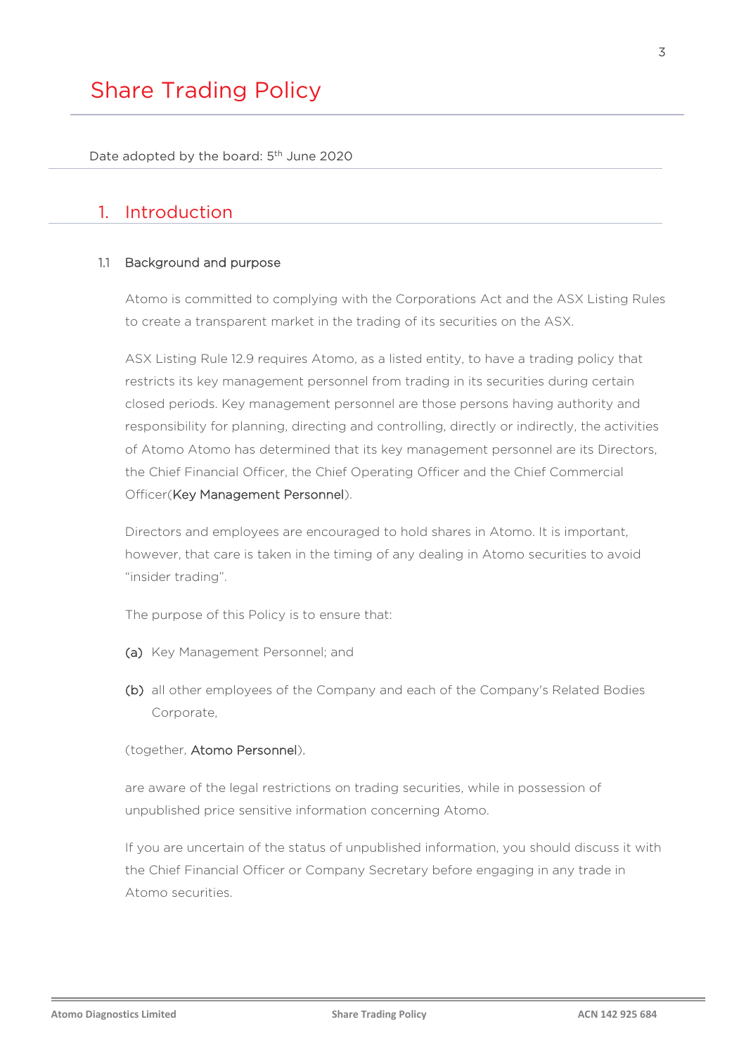Date adopted by the board: 5<sup>th</sup> June 2020

# 1. Introduction

#### 1.1 Background and purpose

Atomo is committed to complying with the Corporations Act and the ASX Listing Rules to create a transparent market in the trading of its securities on the ASX.

ASX Listing Rule 12.9 requires Atomo, as a listed entity, to have a trading policy that restricts its key management personnel from trading in its securities during certain closed periods. Key management personnel are those persons having authority and responsibility for planning, directing and controlling, directly or indirectly, the activities of Atomo Atomo has determined that its key management personnel are its Directors, the Chief Financial Officer, the Chief Operating Officer and the Chief Commercial Officer(Key Management Personnel).

Directors and employees are encouraged to hold shares in Atomo. It is important, however, that care is taken in the timing of any dealing in Atomo securities to avoid "insider trading".

The purpose of this Policy is to ensure that:

- (a) Key Management Personnel; and
- (b) all other employees of the Company and each of the Company's Related Bodies Corporate,

#### (together, Atomo Personnel),

are aware of the legal restrictions on trading securities, while in possession of unpublished price sensitive information concerning Atomo.

If you are uncertain of the status of unpublished information, you should discuss it with the Chief Financial Officer or Company Secretary before engaging in any trade in Atomo securities.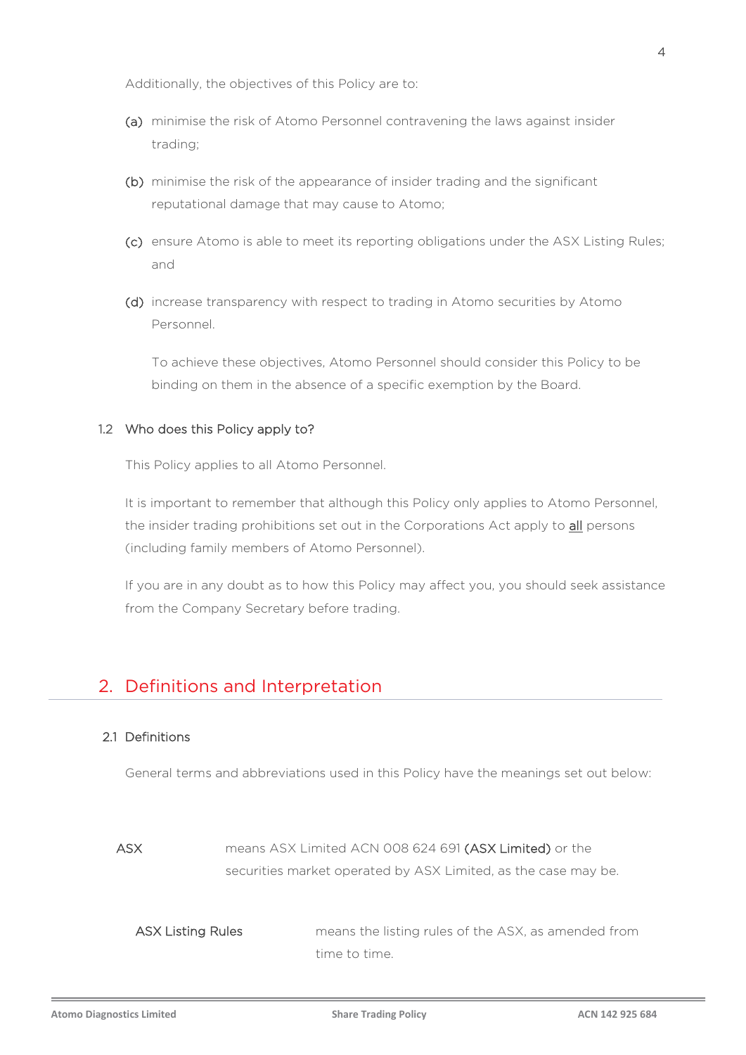Additionally, the objectives of this Policy are to:

- (a) minimise the risk of Atomo Personnel contravening the laws against insider trading;
- (b) minimise the risk of the appearance of insider trading and the significant reputational damage that may cause to Atomo;
- (c) ensure Atomo is able to meet its reporting obligations under the ASX Listing Rules; and
- (d) increase transparency with respect to trading in Atomo securities by Atomo Personnel.

To achieve these objectives, Atomo Personnel should consider this Policy to be binding on them in the absence of a specific exemption by the Board.

#### 1.2 Who does this Policy apply to?

This Policy applies to all Atomo Personnel.

It is important to remember that although this Policy only applies to Atomo Personnel, the insider trading prohibitions set out in the Corporations Act apply to all persons (including family members of Atomo Personnel).

If you are in any doubt as to how this Policy may affect you, you should seek assistance from the Company Secretary before trading.

### 2. Definitions and Interpretation

#### 2.1 Definitions

General terms and abbreviations used in this Policy have the meanings set out below:

ASX means ASX Limited ACN 008 624 691 (ASX Limited) or the securities market operated by ASX Limited, as the case may be.

ASX Listing Rules means the listing rules of the ASX, as amended from time to time.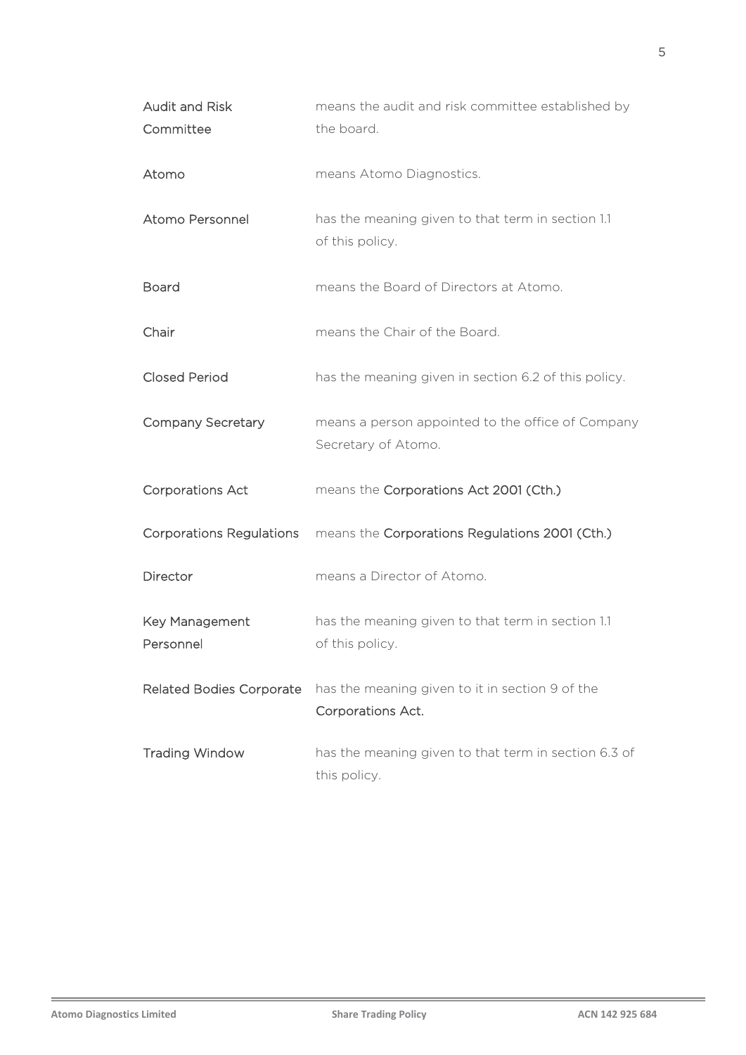| <b>Audit and Risk</b><br>Committee | means the audit and risk committee established by<br>the board.          |
|------------------------------------|--------------------------------------------------------------------------|
| Atomo                              | means Atomo Diagnostics.                                                 |
| Atomo Personnel                    | has the meaning given to that term in section 1.1<br>of this policy.     |
| <b>Board</b>                       | means the Board of Directors at Atomo.                                   |
| Chair                              | means the Chair of the Board.                                            |
| <b>Closed Period</b>               | has the meaning given in section 6.2 of this policy.                     |
| <b>Company Secretary</b>           | means a person appointed to the office of Company<br>Secretary of Atomo. |
| <b>Corporations Act</b>            | means the Corporations Act 2001 (Cth.)                                   |
| <b>Corporations Regulations</b>    | means the Corporations Regulations 2001 (Cth.)                           |
| Director                           | means a Director of Atomo.                                               |
| Key Management<br>Personnel        | has the meaning given to that term in section 1.1<br>of this policy.     |
| <b>Related Bodies Corporate</b>    | has the meaning given to it in section 9 of the<br>Corporations Act.     |
| <b>Trading Window</b>              | has the meaning given to that term in section 6.3 of<br>this policy.     |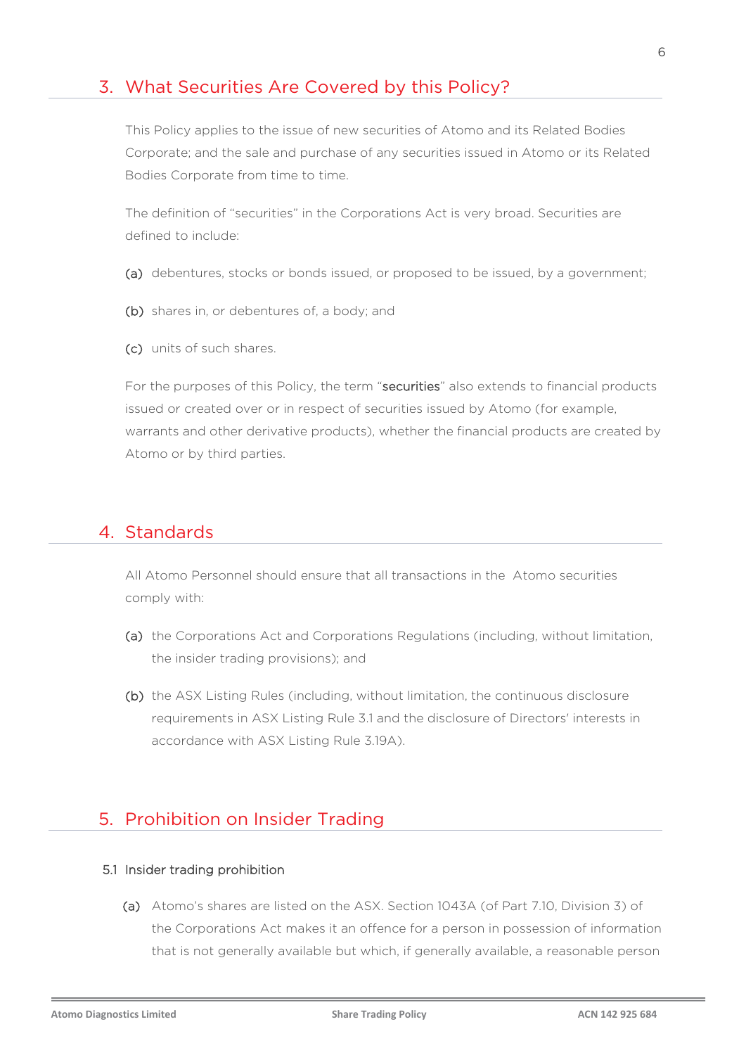## 3. What Securities Are Covered by this Policy?

This Policy applies to the issue of new securities of Atomo and its Related Bodies Corporate; and the sale and purchase of any securities issued in Atomo or its Related Bodies Corporate from time to time.

The definition of "securities" in the Corporations Act is very broad. Securities are defined to include:

- (a) debentures, stocks or bonds issued, or proposed to be issued, by a government;
- (b) shares in, or debentures of, a body; and
- (c) units of such shares.

For the purposes of this Policy, the term "securities" also extends to financial products issued or created over or in respect of securities issued by Atomo (for example, warrants and other derivative products), whether the financial products are created by Atomo or by third parties.

### 4. Standards

All Atomo Personnel should ensure that all transactions in the Atomo securities comply with:

- (a) the Corporations Act and Corporations Regulations (including, without limitation, the insider trading provisions); and
- (b) the ASX Listing Rules (including, without limitation, the continuous disclosure requirements in ASX Listing Rule 3.1 and the disclosure of Directors' interests in accordance with ASX Listing Rule 3.19A).

# 5. Prohibition on Insider Trading

#### 5.1 Insider trading prohibition

(a) Atomo's shares are listed on the ASX. Section 1043A (of Part 7.10, Division 3) of the Corporations Act makes it an offence for a person in possession of information that is not generally available but which, if generally available, a reasonable person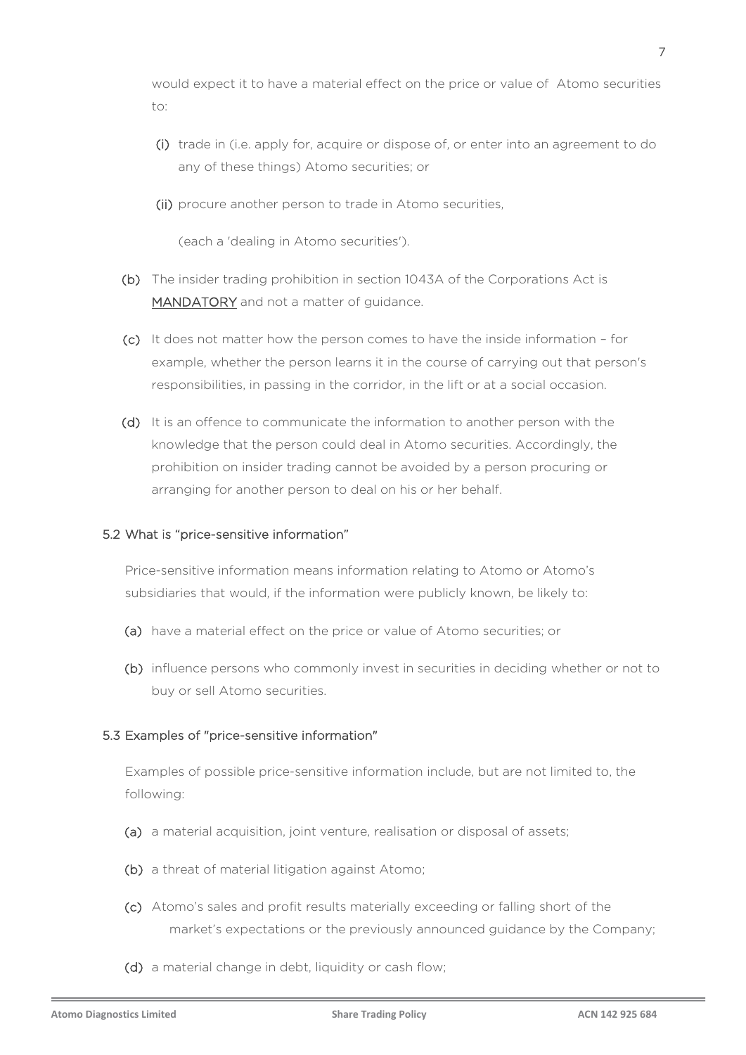would expect it to have a material effect on the price or value of Atomo securities  $\dots$ 

- (i) trade in (i.e. apply for, acquire or dispose of, or enter into an agreement to do any of these things) Atomo securities; or
- (ii) procure another person to trade in Atomo securities,

(each a 'dealing in Atomo securities').

- (b) The insider trading prohibition in section 1043A of the Corporations Act is MANDATORY and not a matter of quidance.
- (c) It does not matter how the person comes to have the inside information for example, whether the person learns it in the course of carrying out that person's responsibilities, in passing in the corridor, in the lift or at a social occasion.
- (d) It is an offence to communicate the information to another person with the knowledge that the person could deal in Atomo securities. Accordingly, the prohibition on insider trading cannot be avoided by a person procuring or arranging for another person to deal on his or her behalf.

#### 5.2 What is "price-sensitive information"

Price-sensitive information means information relating to Atomo or Atomo's subsidiaries that would, if the information were publicly known, be likely to:

- (a) have a material effect on the price or value of Atomo securities; or
- (b) influence persons who commonly invest in securities in deciding whether or not to buy or sell Atomo securities.

#### 5.3 Examples of "price-sensitive information"

Examples of possible price-sensitive information include, but are not limited to, the following:

- (a) a material acquisition, joint venture, realisation or disposal of assets;
- (b) a threat of material litigation against Atomo;
- (c) Atomo's sales and profit results materially exceeding or falling short of the market's expectations or the previously announced guidance by the Company;
- (d) a material change in debt, liquidity or cash flow;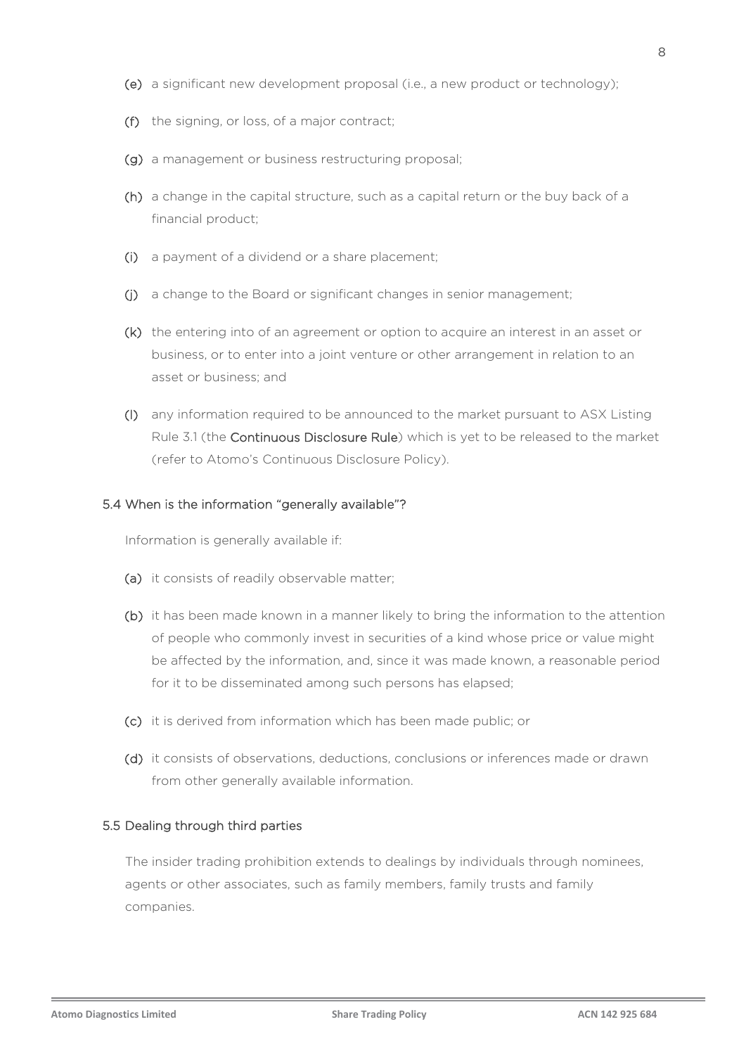- (e) a significant new development proposal (i.e., a new product or technology);
- (f) the signing, or loss, of a major contract;
- (g) a management or business restructuring proposal;
- (h) a change in the capital structure, such as a capital return or the buy back of a financial product;
- (i) a payment of a dividend or a share placement;
- (j) a change to the Board or significant changes in senior management;
- (k) the entering into of an agreement or option to acquire an interest in an asset or business, or to enter into a joint venture or other arrangement in relation to an asset or business; and
- (l) any information required to be announced to the market pursuant to ASX Listing Rule 3.1 (the Continuous Disclosure Rule) which is yet to be released to the market (refer to Atomo's Continuous Disclosure Policy).

#### 5.4 When is the information "generally available"?

Information is generally available if:

- (a) it consists of readily observable matter;
- (b) it has been made known in a manner likely to bring the information to the attention of people who commonly invest in securities of a kind whose price or value might be affected by the information, and, since it was made known, a reasonable period for it to be disseminated among such persons has elapsed;
- (c) it is derived from information which has been made public; or
- (d) it consists of observations, deductions, conclusions or inferences made or drawn from other generally available information.

#### 5.5 Dealing through third parties

The insider trading prohibition extends to dealings by individuals through nominees, agents or other associates, such as family members, family trusts and family companies.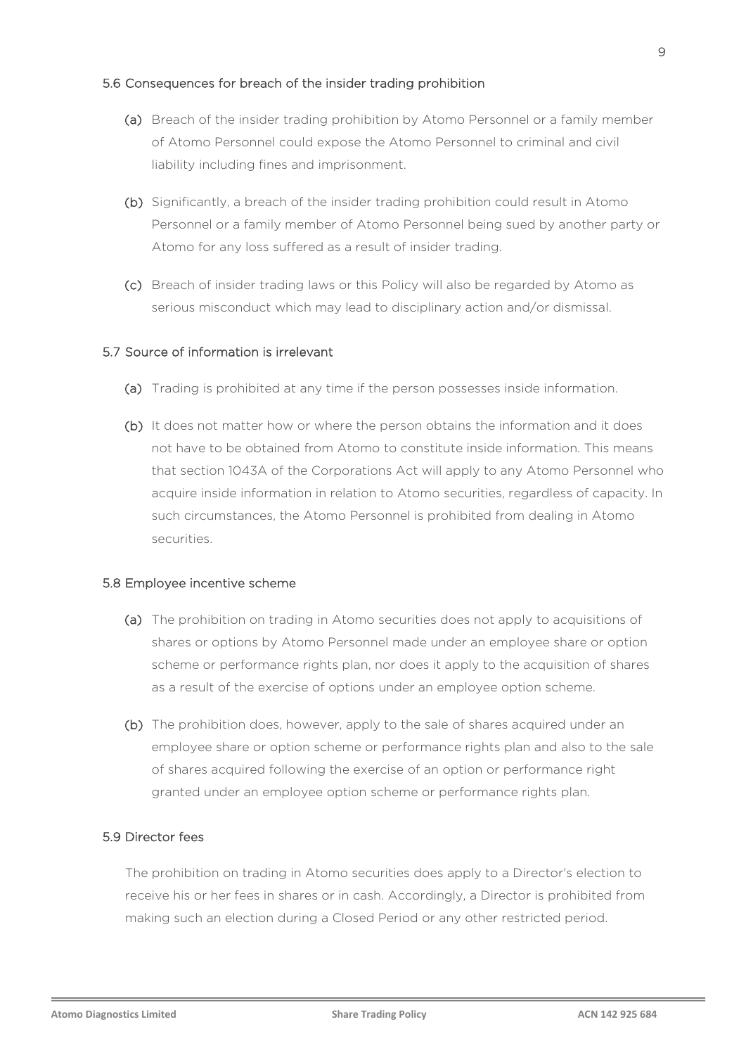#### 5.6 Consequences for breach of the insider trading prohibition

- (a) Breach of the insider trading prohibition by Atomo Personnel or a family member of Atomo Personnel could expose the Atomo Personnel to criminal and civil liability including fines and imprisonment.
- (b) Significantly, a breach of the insider trading prohibition could result in Atomo Personnel or a family member of Atomo Personnel being sued by another party or Atomo for any loss suffered as a result of insider trading.
- (c) Breach of insider trading laws or this Policy will also be regarded by Atomo as serious misconduct which may lead to disciplinary action and/or dismissal.

#### 5.7 Source of information is irrelevant

- (a) Trading is prohibited at any time if the person possesses inside information.
- (b) It does not matter how or where the person obtains the information and it does not have to be obtained from Atomo to constitute inside information. This means that section 1043A of the Corporations Act will apply to any Atomo Personnel who acquire inside information in relation to Atomo securities, regardless of capacity. In such circumstances, the Atomo Personnel is prohibited from dealing in Atomo securities.

#### 5.8 Employee incentive scheme

- (a) The prohibition on trading in Atomo securities does not apply to acquisitions of shares or options by Atomo Personnel made under an employee share or option scheme or performance rights plan, nor does it apply to the acquisition of shares as a result of the exercise of options under an employee option scheme.
- (b) The prohibition does, however, apply to the sale of shares acquired under an employee share or option scheme or performance rights plan and also to the sale of shares acquired following the exercise of an option or performance right granted under an employee option scheme or performance rights plan.

#### 5.9 Director fees

The prohibition on trading in Atomo securities does apply to a Director's election to receive his or her fees in shares or in cash. Accordingly, a Director is prohibited from making such an election during a Closed Period or any other restricted period.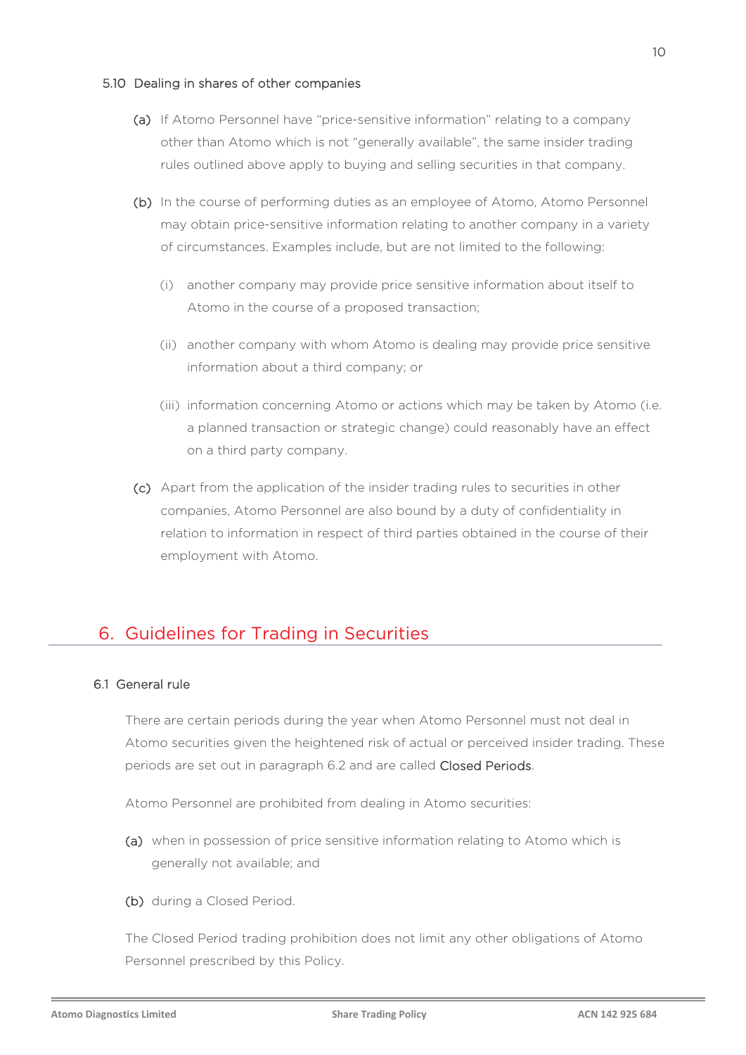#### 5.10 Dealing in shares of other companies

- (a) If Atomo Personnel have "price-sensitive information" relating to a company other than Atomo which is not "generally available", the same insider trading rules outlined above apply to buying and selling securities in that company.
- (b) In the course of performing duties as an employee of Atomo, Atomo Personnel may obtain price-sensitive information relating to another company in a variety of circumstances. Examples include, but are not limited to the following:
	- (i) another company may provide price sensitive information about itself to Atomo in the course of a proposed transaction;
	- (ii) another company with whom Atomo is dealing may provide price sensitive information about a third company; or
	- (iii) information concerning Atomo or actions which may be taken by Atomo (i.e. a planned transaction or strategic change) could reasonably have an effect on a third party company.
- (c) Apart from the application of the insider trading rules to securities in other companies, Atomo Personnel are also bound by a duty of confidentiality in relation to information in respect of third parties obtained in the course of their employment with Atomo.

# 6. Guidelines for Trading in Securities

#### <span id="page-9-0"></span>6.1 General rule

There are certain periods during the year when Atomo Personnel must not deal in Atomo securities given the heightened risk of actual or perceived insider trading. These periods are set out in paragraph [6.2](#page-10-0) and are called Closed Periods.

Atomo Personnel are prohibited from dealing in Atomo securities:

- (a) when in possession of price sensitive information relating to Atomo which is generally not available; and
- (b) during a Closed Period.

The Closed Period trading prohibition does not limit any other obligations of Atomo Personnel prescribed by this Policy.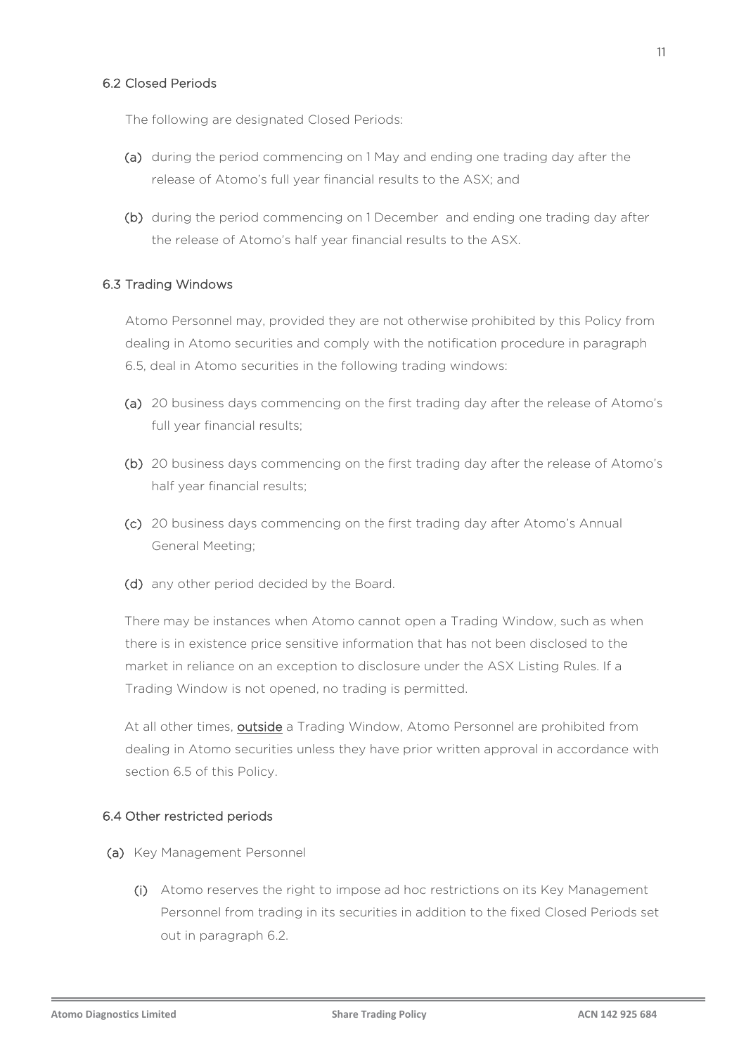#### <span id="page-10-0"></span>6.2 Closed Periods

The following are designated Closed Periods:

- (a) during the period commencing on 1 May and ending one trading day after the release of Atomo's full year financial results to the ASX; and
- (b) during the period commencing on 1 December and ending one trading day after the release of Atomo's half year financial results to the ASX.

#### <span id="page-10-1"></span>6.3 Trading Windows

Atomo Personnel may, provided they are not otherwise prohibited by this Policy from dealing in Atomo securities and comply with the notification procedure in paragraph 6.5, deal in Atomo securities in the following trading windows:

- (a) 20 business days commencing on the first trading day after the release of Atomo's full year financial results;
- (b) 20 business days commencing on the first trading day after the release of Atomo's half year financial results;
- (c) 20 business days commencing on the first trading day after Atomo's Annual General Meeting;
- (d) any other period decided by the Board.

There may be instances when Atomo cannot open a Trading Window, such as when there is in existence price sensitive information that has not been disclosed to the market in reliance on an exception to disclosure under the ASX Listing Rules. If a Trading Window is not opened, no trading is permitted.

At all other times, **outside** a Trading Window, Atomo Personnel are prohibited from dealing in Atomo securities unless they have prior written approval in accordance with section 6.5 of this Policy.

#### 6.4 Other restricted periods

- (a) Key Management Personnel
	- (i) Atomo reserves the right to impose ad hoc restrictions on its Key Management Personnel from trading in its securities in addition to the fixed Closed Periods set out in paragraph [6.2.](#page-10-0)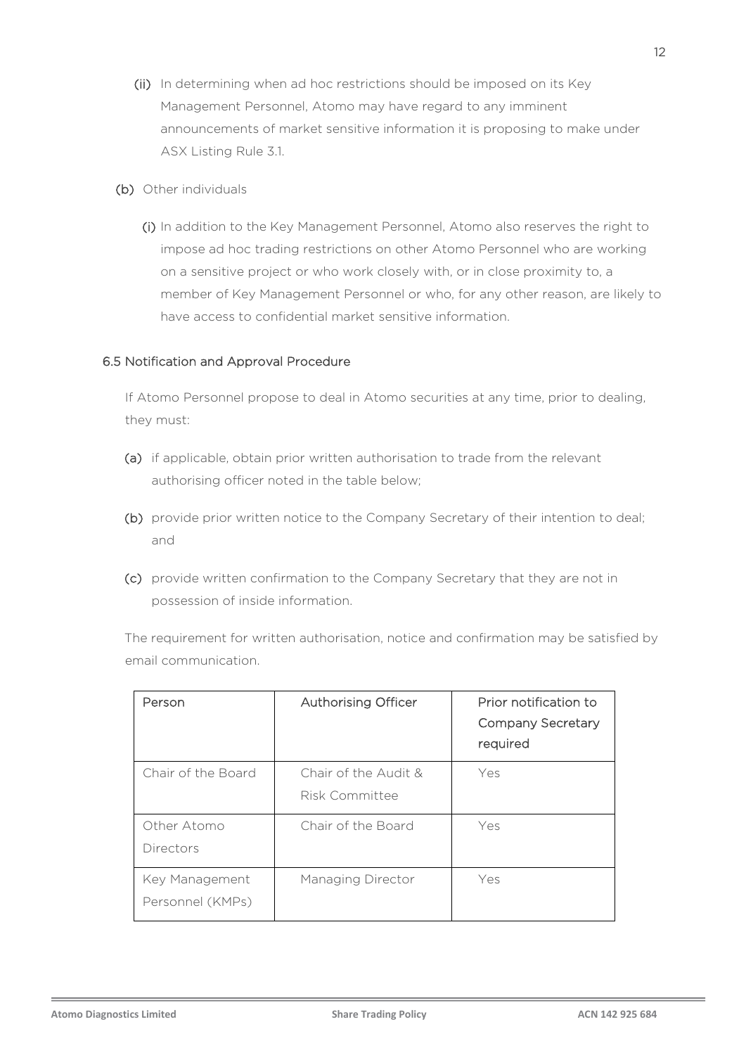- (ii) In determining when ad hoc restrictions should be imposed on its Key Management Personnel, Atomo may have regard to any imminent announcements of market sensitive information it is proposing to make under ASX Listing Rule 3.1.
- (b) Other individuals
	- (i) In addition to the Key Management Personnel, Atomo also reserves the right to impose ad hoc trading restrictions on other Atomo Personnel who are working on a sensitive project or who work closely with, or in close proximity to, a member of Key Management Personnel or who, for any other reason, are likely to have access to confidential market sensitive information.

#### 6.5 Notification and Approval Procedure

If Atomo Personnel propose to deal in Atomo securities at any time, prior to dealing, they must:

- (a) if applicable, obtain prior written authorisation to trade from the relevant authorising officer noted in the table below;
- (b) provide prior written notice to the Company Secretary of their intention to deal; and
- (c) provide written confirmation to the Company Secretary that they are not in possession of inside information.

The requirement for written authorisation, notice and confirmation may be satisfied by email communication.

| Person                             | Authorising Officer                    | Prior notification to<br><b>Company Secretary</b><br>required |
|------------------------------------|----------------------------------------|---------------------------------------------------------------|
| Chair of the Board                 | Chair of the Audit &<br>Risk Committee | Yes                                                           |
| Other Atomo<br>Directors           | Chair of the Board                     | Yes                                                           |
| Key Management<br>Personnel (KMPs) | Managing Director                      | Yes                                                           |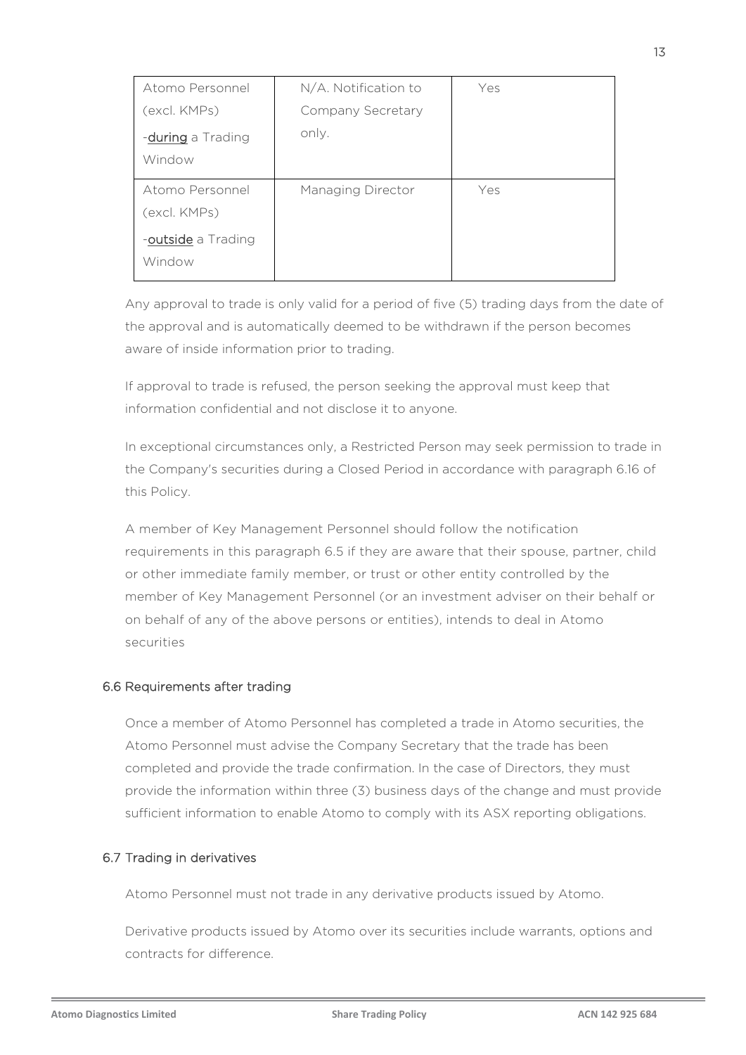| Atomo Personnel                 | N/A. Notification to | Yes |
|---------------------------------|----------------------|-----|
| (excl. KMPs)                    | Company Secretary    |     |
| -during a Trading<br>Window     | only.                |     |
| Atomo Personnel<br>(excl. KMPs) | Managing Director    | Yes |
| -outside a Trading<br>Window    |                      |     |

Any approval to trade is only valid for a period of five (5) trading days from the date of the approval and is automatically deemed to be withdrawn if the person becomes aware of inside information prior to trading.

If approval to trade is refused, the person seeking the approval must keep that information confidential and not disclose it to anyone.

In exceptional circumstances only, a Restricted Person may seek permission to trade in the Company's securities during a Closed Period in accordance with paragraph 6.16 of this Policy.

A member of Key Management Personnel should follow the notification requirements in this paragraph 6.5 if they are aware that their spouse, partner, child or other immediate family member, or trust or other entity controlled by the member of Key Management Personnel (or an investment adviser on their behalf or on behalf of any of the above persons or entities), intends to deal in Atomo securities

#### 6.6 Requirements after trading

Once a member of Atomo Personnel has completed a trade in Atomo securities, the Atomo Personnel must advise the Company Secretary that the trade has been completed and provide the trade confirmation. In the case of Directors, they must provide the information within three (3) business days of the change and must provide sufficient information to enable Atomo to comply with its ASX reporting obligations.

#### 6.7 Trading in derivatives

Atomo Personnel must not trade in any derivative products issued by Atomo.

Derivative products issued by Atomo over its securities include warrants, options and contracts for difference.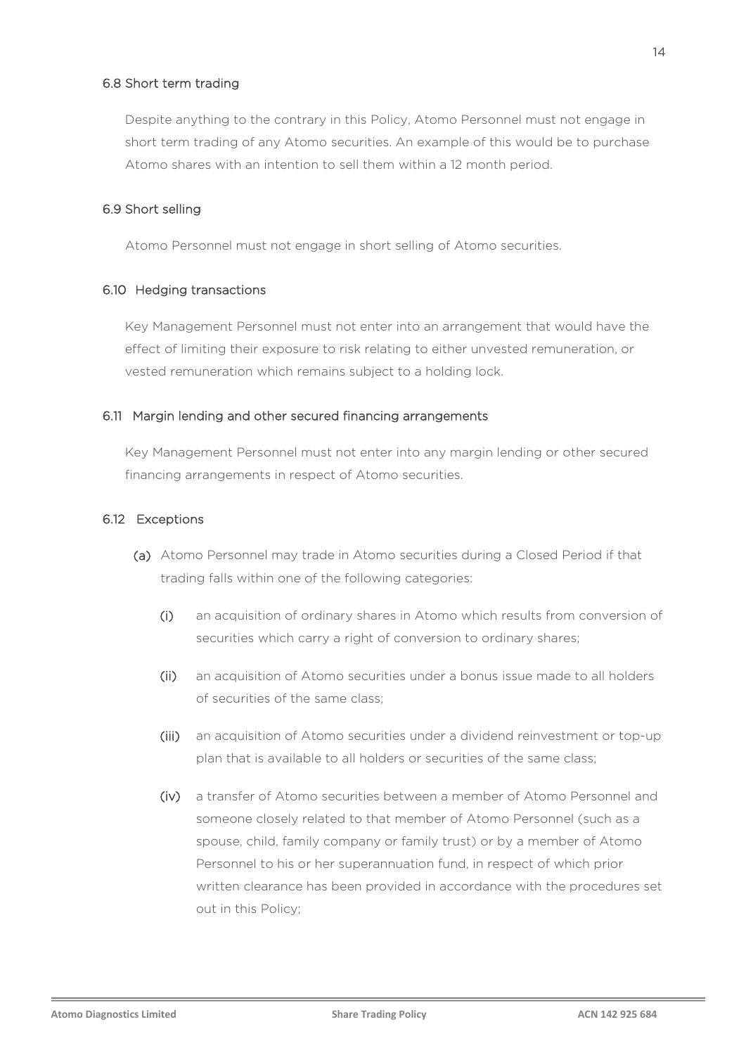#### 6.8 Short term trading

Despite anything to the contrary in this Policy, Atomo Personnel must not engage in short term trading of any Atomo securities. An example of this would be to purchase Atomo shares with an intention to sell them within a 12 month period.

#### 6.9 Short selling

Atomo Personnel must not engage in short selling of Atomo securities.

#### 6.10 Hedging transactions

Key Management Personnel must not enter into an arrangement that would have the effect of limiting their exposure to risk relating to either unvested remuneration, or vested remuneration which remains subject to a holding lock.

#### 6.11 Margin lending and other secured financing arrangements

Key Management Personnel must not enter into any margin lending or other secured financing arrangements in respect of Atomo securities.

#### <span id="page-13-0"></span>6.12 Exceptions

- (a) Atomo Personnel may trade in Atomo securities during a Closed Period if that trading falls within one of the following categories:
	- (i) an acquisition of ordinary shares in Atomo which results from conversion of securities which carry a right of conversion to ordinary shares;
	- (ii) an acquisition of Atomo securities under a bonus issue made to all holders of securities of the same class;
	- (iii) an acquisition of Atomo securities under a dividend reinvestment or top-up plan that is available to all holders or securities of the same class;
	- (iv) a transfer of Atomo securities between a member of Atomo Personnel and someone closely related to that member of Atomo Personnel (such as a spouse, child, family company or family trust) or by a member of Atomo Personnel to his or her superannuation fund, in respect of which prior written clearance has been provided in accordance with the procedures set out in this Policy;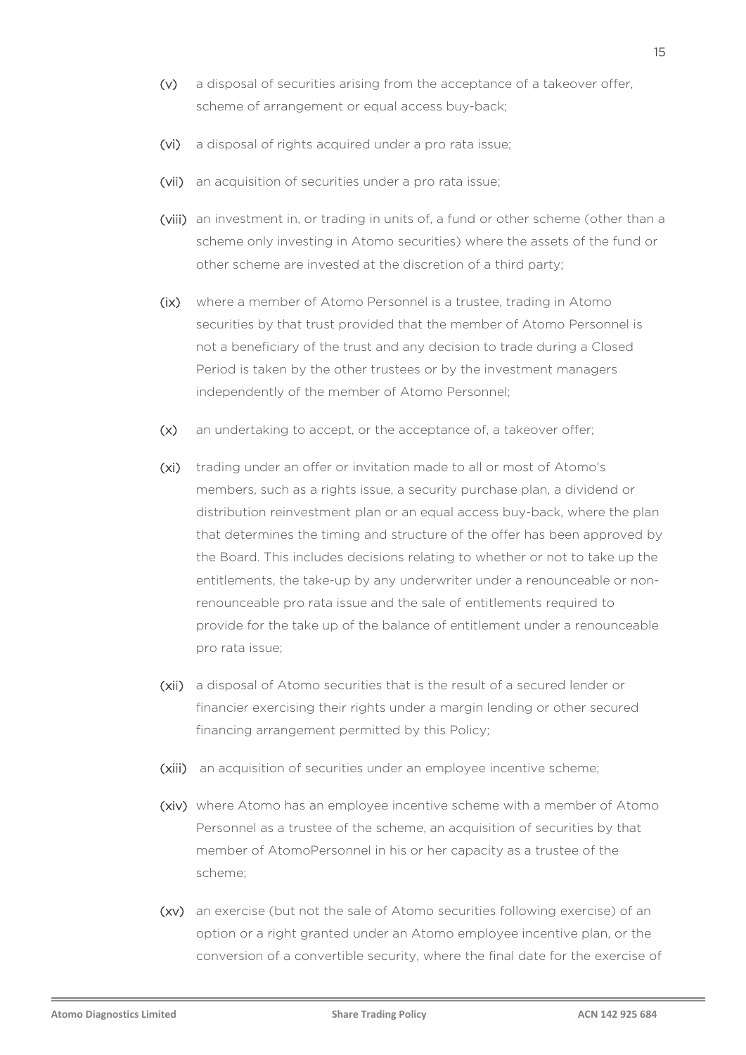- (v) a disposal of securities arising from the acceptance of a takeover offer, scheme of arrangement or equal access buy-back;
- (vi) a disposal of rights acquired under a pro rata issue;
- (vii) an acquisition of securities under a pro rata issue;
- (viii) an investment in, or trading in units of, a fund or other scheme (other than a scheme only investing in Atomo securities) where the assets of the fund or other scheme are invested at the discretion of a third party;
- (ix) where a member of Atomo Personnel is a trustee, trading in Atomo securities by that trust provided that the member of Atomo Personnel is not a beneficiary of the trust and any decision to trade during a Closed Period is taken by the other trustees or by the investment managers independently of the member of Atomo Personnel;
- (x) an undertaking to accept, or the acceptance of, a takeover offer;
- (xi) trading under an offer or invitation made to all or most of Atomo's members, such as a rights issue, a security purchase plan, a dividend or distribution reinvestment plan or an equal access buy-back, where the plan that determines the timing and structure of the offer has been approved by the Board. This includes decisions relating to whether or not to take up the entitlements, the take-up by any underwriter under a renounceable or nonrenounceable pro rata issue and the sale of entitlements required to provide for the take up of the balance of entitlement under a renounceable pro rata issue;
- (xii) a disposal of Atomo securities that is the result of a secured lender or financier exercising their rights under a margin lending or other secured financing arrangement permitted by this Policy;
- (xiii) an acquisition of securities under an employee incentive scheme;
- (xiv) where Atomo has an employee incentive scheme with a member of Atomo Personnel as a trustee of the scheme, an acquisition of securities by that member of AtomoPersonnel in his or her capacity as a trustee of the scheme;
- (xv) an exercise (but not the sale of Atomo securities following exercise) of an option or a right granted under an Atomo employee incentive plan, or the conversion of a convertible security, where the final date for the exercise of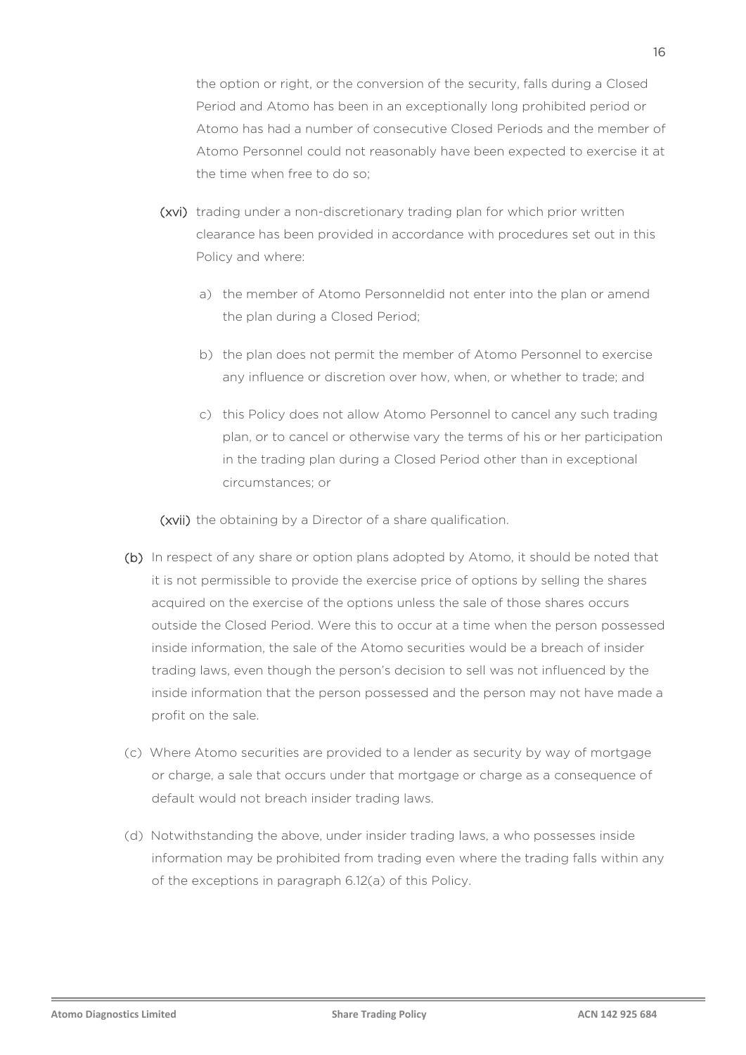the option or right, or the conversion of the security, falls during a Closed Period and Atomo has been in an exceptionally long prohibited period or Atomo has had a number of consecutive Closed Periods and the member of Atomo Personnel could not reasonably have been expected to exercise it at the time when free to do so;

- (xvi) trading under a non-discretionary trading plan for which prior written clearance has been provided in accordance with procedures set out in this Policy and where:
	- a) the member of Atomo Personneldid not enter into the plan or amend the plan during a Closed Period;
	- b) the plan does not permit the member of Atomo Personnel to exercise any influence or discretion over how, when, or whether to trade; and
	- c) this Policy does not allow Atomo Personnel to cancel any such trading plan, or to cancel or otherwise vary the terms of his or her participation in the trading plan during a Closed Period other than in exceptional circumstances; or

(xvii) the obtaining by a Director of a share qualification.

- (b) In respect of any share or option plans adopted by Atomo, it should be noted that it is not permissible to provide the exercise price of options by selling the shares acquired on the exercise of the options unless the sale of those shares occurs outside the Closed Period. Were this to occur at a time when the person possessed inside information, the sale of the Atomo securities would be a breach of insider trading laws, even though the person's decision to sell was not influenced by the inside information that the person possessed and the person may not have made a profit on the sale.
- (c) Where Atomo securities are provided to a lender as security by way of mortgage or charge, a sale that occurs under that mortgage or charge as a consequence of default would not breach insider trading laws.
- (d) Notwithstanding the above, under insider trading laws, a who possesses inside information may be prohibited from trading even where the trading falls within any of the exceptions in paragraph [6.12\(a\)](#page-13-0) of this Policy.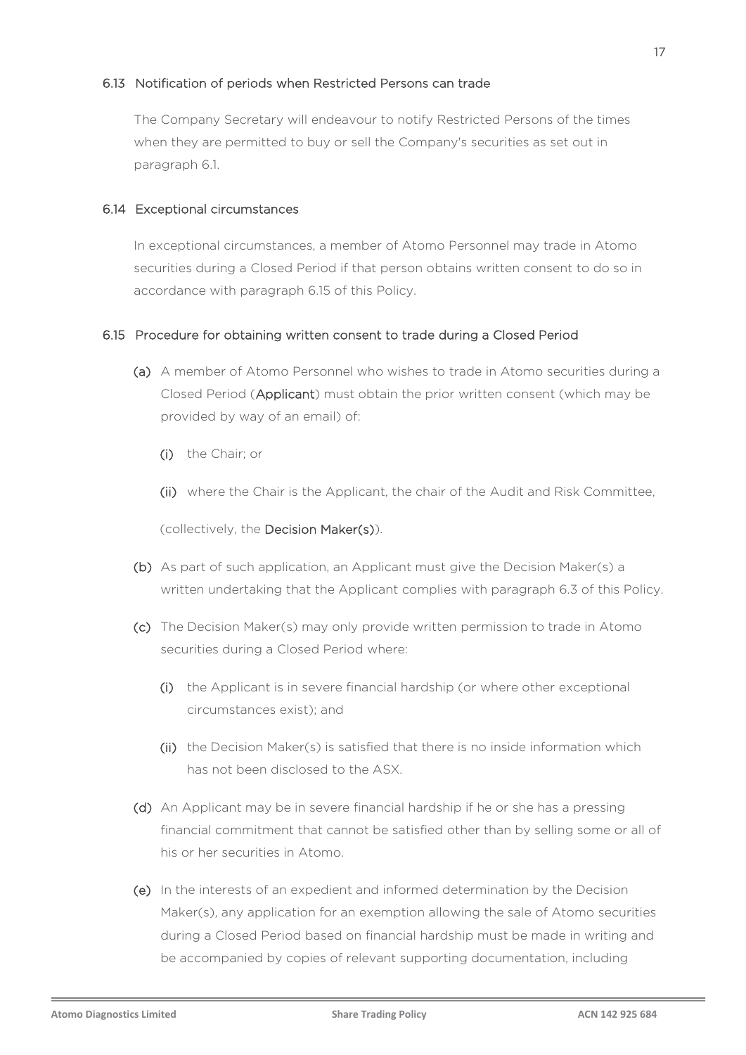#### 6.13 Notification of periods when Restricted Persons can trade

The Company Secretary will endeavour to notify Restricted Persons of the times when they are permitted to buy or sell the Company's securities as set out in paragraph [6.1.](#page-9-0)

#### 6.14 Exceptional circumstances

In exceptional circumstances, a member of Atomo Personnel may trade in Atomo securities during a Closed Period if that person obtains written consent to do so in accordance with paragraph 6.15 of this Policy.

#### 6.15 Procedure for obtaining written consent to trade during a Closed Period

- (a) A member of Atomo Personnel who wishes to trade in Atomo securities during a Closed Period (Applicant) must obtain the prior written consent (which may be provided by way of an email) of:
	- (i) the Chair; or
	- (ii) where the Chair is the Applicant, the chair of the Audit and Risk Committee,

(collectively, the Decision Maker(s)).

- (b) As part of such application, an Applicant must give the Decision Maker(s) a written undertaking that the Applicant complies with paragraph [6.3](#page-10-1) of this Policy.
- (c) The Decision Maker(s) may only provide written permission to trade in Atomo securities during a Closed Period where:
	- (i) the Applicant is in severe financial hardship (or where other exceptional circumstances exist); and
	- (ii) the Decision Maker(s) is satisfied that there is no inside information which has not been disclosed to the ASX.
- (d) An Applicant may be in severe financial hardship if he or she has a pressing financial commitment that cannot be satisfied other than by selling some or all of his or her securities in Atomo.
- (e) In the interests of an expedient and informed determination by the Decision Maker(s), any application for an exemption allowing the sale of Atomo securities during a Closed Period based on financial hardship must be made in writing and be accompanied by copies of relevant supporting documentation, including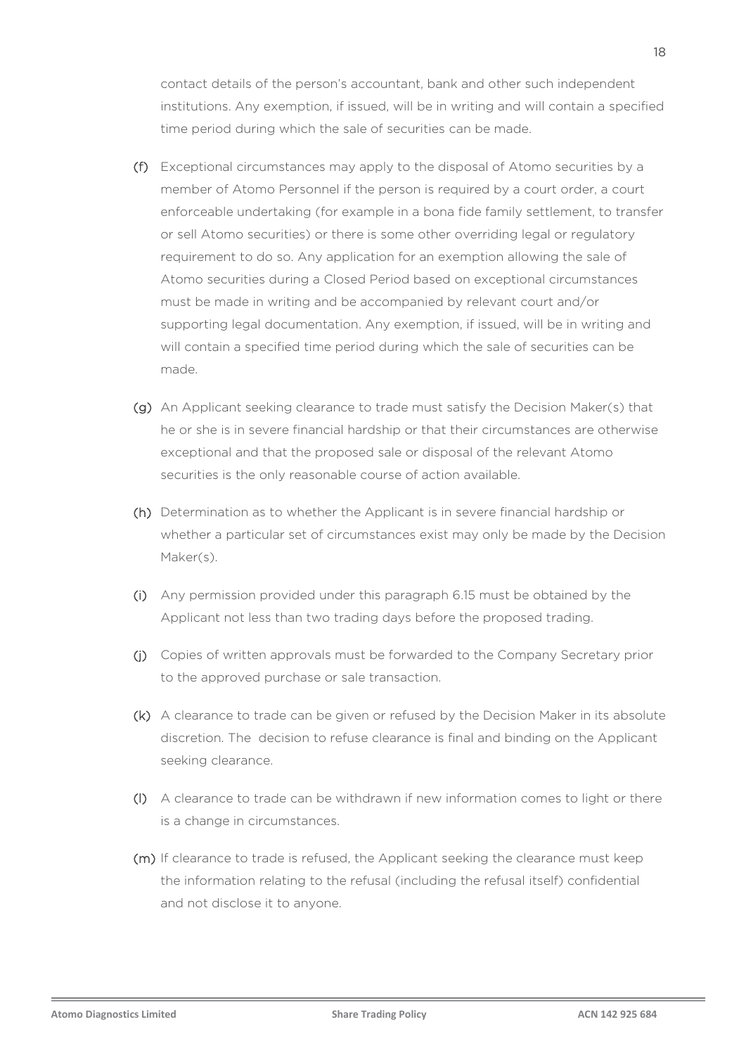contact details of the person's accountant, bank and other such independent institutions. Any exemption, if issued, will be in writing and will contain a specified time period during which the sale of securities can be made.

- (f) Exceptional circumstances may apply to the disposal of Atomo securities by a member of Atomo Personnel if the person is required by a court order, a court enforceable undertaking (for example in a bona fide family settlement, to transfer or sell Atomo securities) or there is some other overriding legal or regulatory requirement to do so. Any application for an exemption allowing the sale of Atomo securities during a Closed Period based on exceptional circumstances must be made in writing and be accompanied by relevant court and/or supporting legal documentation. Any exemption, if issued, will be in writing and will contain a specified time period during which the sale of securities can be made.
- (g) An Applicant seeking clearance to trade must satisfy the Decision Maker(s) that he or she is in severe financial hardship or that their circumstances are otherwise exceptional and that the proposed sale or disposal of the relevant Atomo securities is the only reasonable course of action available.
- (h) Determination as to whether the Applicant is in severe financial hardship or whether a particular set of circumstances exist may only be made by the Decision Maker(s).
- (i) Any permission provided under this paragraph 6.15 must be obtained by the Applicant not less than two trading days before the proposed trading.
- (j) Copies of written approvals must be forwarded to the Company Secretary prior to the approved purchase or sale transaction.
- (k) A clearance to trade can be given or refused by the Decision Maker in its absolute discretion. The decision to refuse clearance is final and binding on the Applicant seeking clearance.
- (l) A clearance to trade can be withdrawn if new information comes to light or there is a change in circumstances.
- (m) If clearance to trade is refused, the Applicant seeking the clearance must keep the information relating to the refusal (including the refusal itself) confidential and not disclose it to anyone.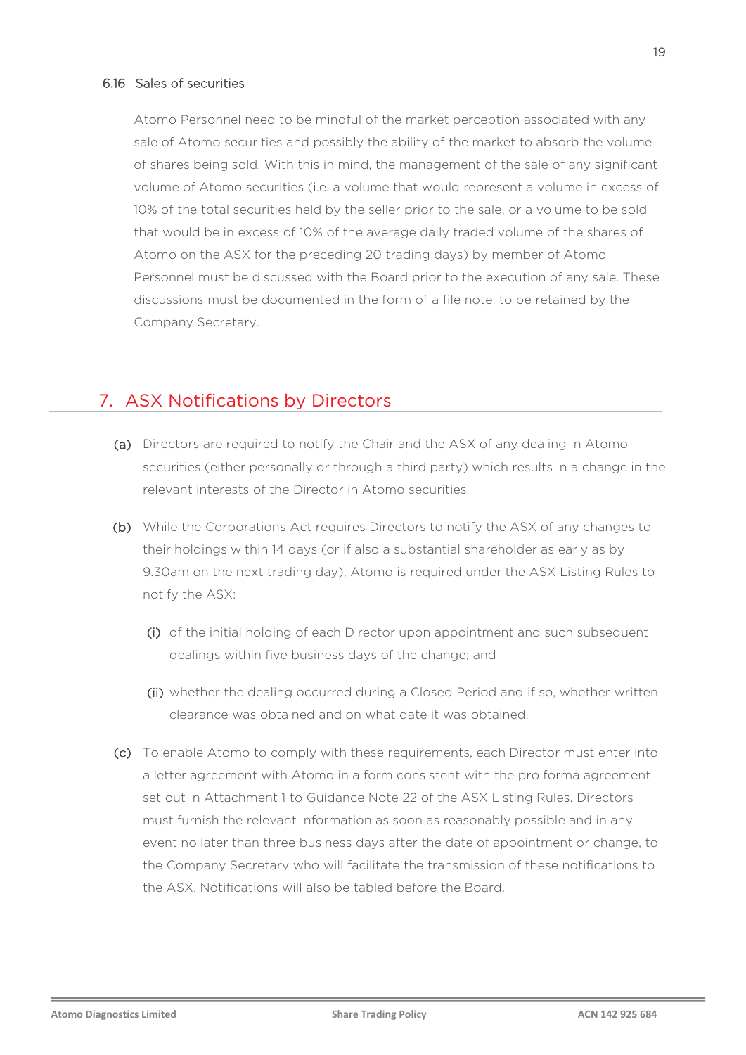#### 6.16 Sales of securities

Atomo Personnel need to be mindful of the market perception associated with any sale of Atomo securities and possibly the ability of the market to absorb the volume of shares being sold. With this in mind, the management of the sale of any significant volume of Atomo securities (i.e. a volume that would represent a volume in excess of 10% of the total securities held by the seller prior to the sale, or a volume to be sold that would be in excess of 10% of the average daily traded volume of the shares of Atomo on the ASX for the preceding 20 trading days) by member of Atomo Personnel must be discussed with the Board prior to the execution of any sale. These discussions must be documented in the form of a file note, to be retained by the Company Secretary.

## 7. ASX Notifications by Directors

- (a) Directors are required to notify the Chair and the ASX of any dealing in Atomo securities (either personally or through a third party) which results in a change in the relevant interests of the Director in Atomo securities.
- (b) While the Corporations Act requires Directors to notify the ASX of any changes to their holdings within 14 days (or if also a substantial shareholder as early as by 9.30am on the next trading day), Atomo is required under the ASX Listing Rules to notify the ASX:
	- (i) of the initial holding of each Director upon appointment and such subsequent dealings within five business days of the change; and
	- (ii) whether the dealing occurred during a Closed Period and if so, whether written clearance was obtained and on what date it was obtained.
- (c) To enable Atomo to comply with these requirements, each Director must enter into a letter agreement with Atomo in a form consistent with the pro forma agreement set out in Attachment 1 to Guidance Note 22 of the ASX Listing Rules. Directors must furnish the relevant information as soon as reasonably possible and in any event no later than three business days after the date of appointment or change, to the Company Secretary who will facilitate the transmission of these notifications to the ASX. Notifications will also be tabled before the Board.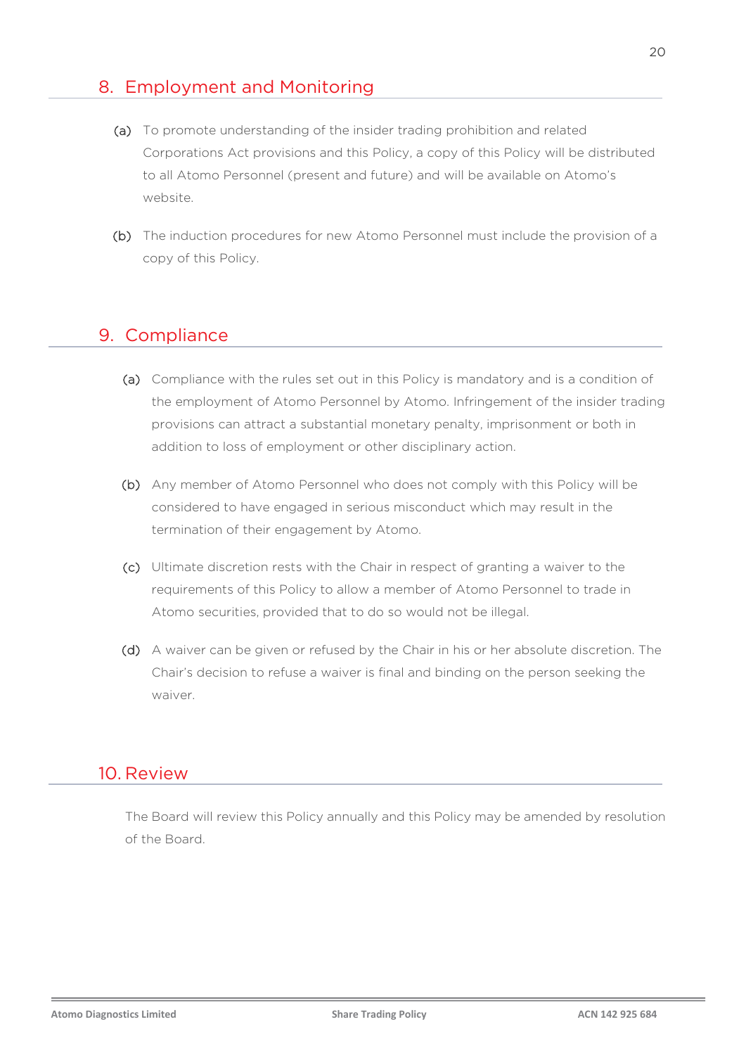## 8. Employment and Monitoring

- (a) To promote understanding of the insider trading prohibition and related Corporations Act provisions and this Policy, a copy of this Policy will be distributed to all Atomo Personnel (present and future) and will be available on Atomo's website.
- (b) The induction procedures for new Atomo Personnel must include the provision of a copy of this Policy.

# 9. Compliance

- (a) Compliance with the rules set out in this Policy is mandatory and is a condition of the employment of Atomo Personnel by Atomo. Infringement of the insider trading provisions can attract a substantial monetary penalty, imprisonment or both in addition to loss of employment or other disciplinary action.
- (b) Any member of Atomo Personnel who does not comply with this Policy will be considered to have engaged in serious misconduct which may result in the termination of their engagement by Atomo.
- (c) Ultimate discretion rests with the Chair in respect of granting a waiver to the requirements of this Policy to allow a member of Atomo Personnel to trade in Atomo securities, provided that to do so would not be illegal.
- (d) A waiver can be given or refused by the Chair in his or her absolute discretion. The Chair's decision to refuse a waiver is final and binding on the person seeking the waiver.

### 10. Review

The Board will review this Policy annually and this Policy may be amended by resolution of the Board.